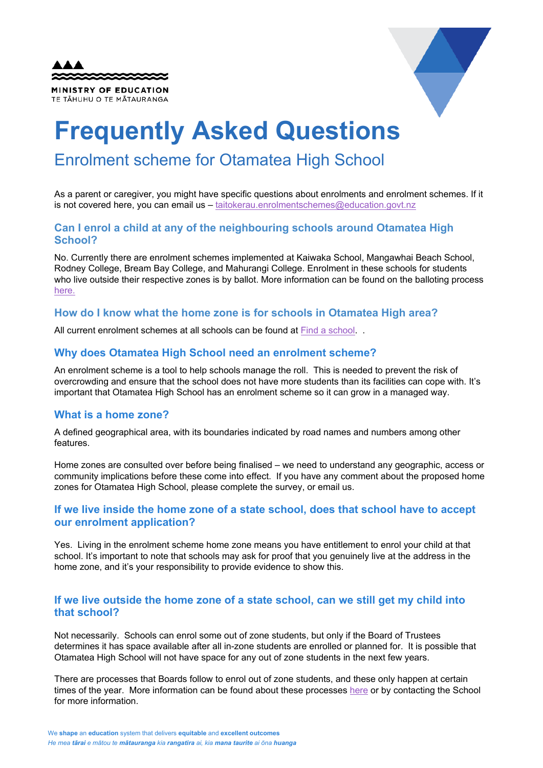| <b>AAA</b><br>22222222222222 |  |
|------------------------------|--|
| <b>MINISTRY OF EDUCATION</b> |  |
| TE TĂHUHU O TE MĂTAURANGA    |  |



# **Frequently Asked Questions**

# Enrolment scheme for Otamatea High School

As a parent or caregiver, you might have specific questions about enrolments and enrolment schemes. If it is not covered here, you can email us – [taitokerau.enrolmentschemes@education.govt.nz](mailto:taitokerau.enrolmentschemes@education.govt.nz)

# **Can I enrol a child at any of the neighbouring schools around Otamatea High School?**

No. Currently there are enrolment schemes implemented at Kaiwaka School, Mangawhai Beach School, Rodney College, Bream Bay College, and Mahurangi College. Enrolment in these schools for students who live outside their respective zones is by ballot. More information can be found on the balloting process [here.](https://www.education.govt.nz/new-zealands-network-of-schools/about-enrolment-schemes/frequently-asked-questions-about-enrolment-schemes/)

#### **How do I know what the home zone is for schools in Otamatea High area?**

All current enrolment schemes at all schools can be found a[t Find a school.](https://nzschools.tki.org.nz/)..

# **Why does Otamatea High School need an enrolment scheme?**

An enrolment scheme is a tool to help schools manage the roll. This is needed to prevent the risk of overcrowding and ensure that the school does not have more students than its facilities can cope with. It's important that Otamatea High School has an enrolment scheme so it can grow in a managed way.

#### **What is a home zone?**

A defined geographical area, with its boundaries indicated by road names and numbers among other features.

Home zones are consulted over before being finalised – we need to understand any geographic, access or community implications before these come into effect. If you have any comment about the proposed home zones for Otamatea High School, please complete the survey, or email us.

# **If we live inside the home zone of a state school, does that school have to accept our enrolment application?**

Yes. Living in the enrolment scheme home zone means you have entitlement to enrol your child at that school. It's important to note that schools may ask for proof that you genuinely live at the address in the home zone, and it's your responsibility to provide evidence to show this.

# **If we live outside the home zone of a state school, can we still get my child into that school?**

Not necessarily. Schools can enrol some out of zone students, but only if the Board of Trustees determines it has space available after all in-zone students are enrolled or planned for. It is possible that Otamatea High School will not have space for any out of zone students in the next few years.

There are processes that Boards follow to enrol out of zone students, and these only happen at certain times of the year. More information can be found about these processes [here](https://www.education.govt.nz/new-zealands-network-of-schools/about-enrolment-schemes/frequently-asked-questions-about-enrolment-schemes/) or by contacting the School for more information.